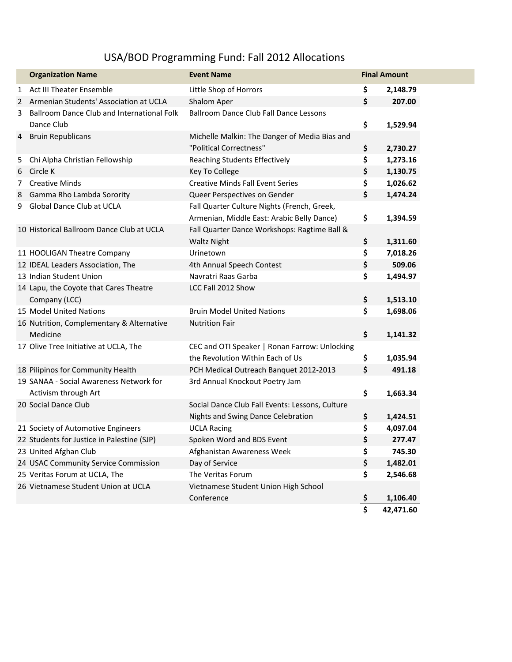## USA/BOD Programming Fund: Fall 2012 Allocations

|   | <b>Organization Name</b>                   | <b>Event Name</b>                               |                         | <b>Final Amount</b> |
|---|--------------------------------------------|-------------------------------------------------|-------------------------|---------------------|
| 1 | Act III Theater Ensemble                   | Little Shop of Horrors                          | \$                      | 2,148.79            |
| 2 | Armenian Students' Association at UCLA     | Shalom Aper                                     | \$                      | 207.00              |
| 3 | Ballroom Dance Club and International Folk | <b>Ballroom Dance Club Fall Dance Lessons</b>   |                         |                     |
|   | Dance Club                                 |                                                 | \$                      | 1,529.94            |
| 4 | <b>Bruin Republicans</b>                   | Michelle Malkin: The Danger of Media Bias and   |                         |                     |
|   |                                            | "Political Correctness"                         | \$                      | 2,730.27            |
| 5 | Chi Alpha Christian Fellowship             | <b>Reaching Students Effectively</b>            | \$                      | 1,273.16            |
| 6 | Circle K                                   | <b>Key To College</b>                           | \$                      | 1,130.75            |
| 7 | <b>Creative Minds</b>                      | <b>Creative Minds Fall Event Series</b>         | \$                      | 1,026.62            |
| 8 | Gamma Rho Lambda Sorority                  | Queer Perspectives on Gender                    | \$                      | 1,474.24            |
| 9 | Global Dance Club at UCLA                  | Fall Quarter Culture Nights (French, Greek,     |                         |                     |
|   |                                            | Armenian, Middle East: Arabic Belly Dance)      | \$                      | 1,394.59            |
|   | 10 Historical Ballroom Dance Club at UCLA  | Fall Quarter Dance Workshops: Ragtime Ball &    |                         |                     |
|   |                                            | <b>Waltz Night</b>                              | \$                      | 1,311.60            |
|   | 11 HOOLIGAN Theatre Company                | Urinetown                                       | \$                      | 7,018.26            |
|   | 12 IDEAL Leaders Association, The          | 4th Annual Speech Contest                       | \$                      | 509.06              |
|   | 13 Indian Student Union                    | Navratri Raas Garba                             | \$                      | 1,494.97            |
|   | 14 Lapu, the Coyote that Cares Theatre     | LCC Fall 2012 Show                              |                         |                     |
|   | Company (LCC)                              |                                                 | \$                      | 1,513.10            |
|   | 15 Model United Nations                    | <b>Bruin Model United Nations</b>               | \$                      | 1,698.06            |
|   | 16 Nutrition, Complementary & Alternative  | <b>Nutrition Fair</b>                           |                         |                     |
|   | Medicine                                   |                                                 | \$                      | 1,141.32            |
|   | 17 Olive Tree Initiative at UCLA, The      | CEC and OTI Speaker   Ronan Farrow: Unlocking   |                         |                     |
|   |                                            | the Revolution Within Each of Us                | \$                      | 1,035.94            |
|   | 18 Pilipinos for Community Health          | PCH Medical Outreach Banquet 2012-2013          | \$                      | 491.18              |
|   | 19 SANAA - Social Awareness Network for    | 3rd Annual Knockout Poetry Jam                  |                         |                     |
|   | Activism through Art                       |                                                 | \$                      | 1,663.34            |
|   | 20 Social Dance Club                       | Social Dance Club Fall Events: Lessons, Culture |                         |                     |
|   |                                            | Nights and Swing Dance Celebration              | \$                      | 1,424.51            |
|   | 21 Society of Automotive Engineers         | <b>UCLA Racing</b>                              | \$                      | 4,097.04            |
|   | 22 Students for Justice in Palestine (SJP) | Spoken Word and BDS Event                       | \$                      | 277.47              |
|   | 23 United Afghan Club                      | Afghanistan Awareness Week                      | \$                      | 745.30              |
|   | 24 USAC Community Service Commission       | Day of Service                                  | \$                      | 1,482.01            |
|   | 25 Veritas Forum at UCLA, The              | The Veritas Forum                               | \$                      | 2,546.68            |
|   | 26 Vietnamese Student Union at UCLA        | Vietnamese Student Union High School            |                         |                     |
|   |                                            | Conference                                      | <u>ې</u>                | 1,106.40            |
|   |                                            |                                                 | $\overline{\mathsf{s}}$ | 42,471.60           |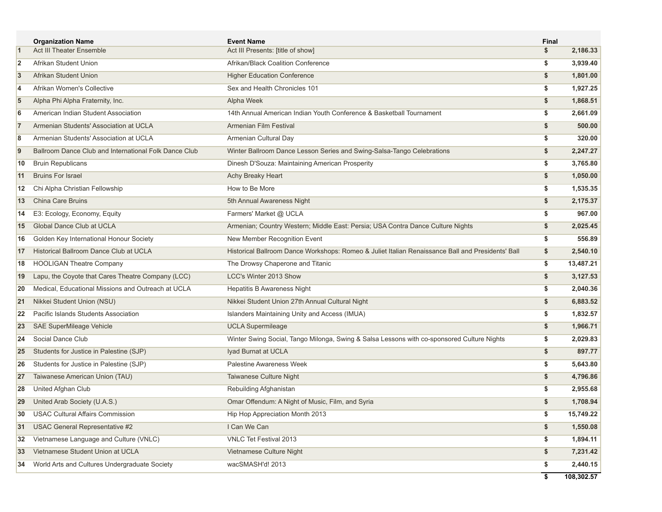|                | <b>Organization Name</b>                              | <b>Event Name</b>                                                                                 | Final |            |
|----------------|-------------------------------------------------------|---------------------------------------------------------------------------------------------------|-------|------------|
| $\vert$ 1      | <b>Act III Theater Ensemble</b>                       | Act III Presents: [title of show]                                                                 | \$    | 2,186.33   |
| 2              | Afrikan Student Union                                 | Afrikan/Black Coalition Conference                                                                | \$    | 3,939.40   |
| $\overline{3}$ | Afrikan Student Union                                 | <b>Higher Education Conference</b>                                                                | \$    | 1,801.00   |
| 4              | Afrikan Women's Collective                            | Sex and Health Chronicles 101                                                                     | \$    | 1,927.25   |
| 5              | Alpha Phi Alpha Fraternity, Inc.                      | Alpha Week                                                                                        | \$    | 1,868.51   |
| 6              | American Indian Student Association                   | 14th Annual American Indian Youth Conference & Basketball Tournament                              | \$    | 2,661.09   |
| 7              | Armenian Students' Association at UCLA                | Armenian Film Festival                                                                            | \$    | 500.00     |
| 8              | Armenian Students' Association at UCLA                | Armenian Cultural Day                                                                             | \$    | 320.00     |
| $\overline{9}$ | Ballroom Dance Club and International Folk Dance Club | Winter Ballroom Dance Lesson Series and Swing-Salsa-Tango Celebrations                            | \$    | 2,247.27   |
| 10             | <b>Bruin Republicans</b>                              | Dinesh D'Souza: Maintaining American Prosperity                                                   | \$    | 3,765.80   |
| 11             | <b>Bruins For Israel</b>                              | Achy Breaky Heart                                                                                 | \$    | 1,050.00   |
| 12             | Chi Alpha Christian Fellowship                        | How to Be More                                                                                    | \$    | 1,535.35   |
| 13             | China Care Bruins                                     | 5th Annual Awareness Night                                                                        | \$    | 2,175.37   |
| 14             | E3: Ecology, Economy, Equity                          | Farmers' Market @ UCLA                                                                            | \$    | 967.00     |
| 15             | Global Dance Club at UCLA                             | Armenian; Country Western; Middle East: Persia; USA Contra Dance Culture Nights                   | \$    | 2,025.45   |
| 16             | Golden Key International Honour Society               | New Member Recognition Event                                                                      | \$    | 556.89     |
| 17             | Historical Ballroom Dance Club at UCLA                | Historical Ballroom Dance Workshops: Romeo & Juliet Italian Renaissance Ball and Presidents' Ball | \$    | 2,540.10   |
| 18             | <b>HOOLIGAN Theatre Company</b>                       | The Drowsy Chaperone and Titanic                                                                  | \$    | 13,487.21  |
| 19             | Lapu, the Coyote that Cares Theatre Company (LCC)     | <b>LCC's Winter 2013 Show</b>                                                                     | \$    | 3,127.53   |
| 20             | Medical, Educational Missions and Outreach at UCLA    | <b>Hepatitis B Awareness Night</b>                                                                | \$    | 2,040.36   |
| 21             | Nikkei Student Union (NSU)                            | Nikkei Student Union 27th Annual Cultural Night                                                   | \$    | 6,883.52   |
| 22             | Pacific Islands Students Association                  | Islanders Maintaining Unity and Access (IMUA)                                                     | \$    | 1,832.57   |
| 23             | SAE SuperMileage Vehicle                              | <b>UCLA Supermileage</b>                                                                          | \$    | 1,966.71   |
| 24             | Social Dance Club                                     | Winter Swing Social, Tango Milonga, Swing & Salsa Lessons with co-sponsored Culture Nights        | \$    | 2,029.83   |
| 25             | Students for Justice in Palestine (SJP)               | Iyad Burnat at UCLA                                                                               | \$    | 897.77     |
| 26             | Students for Justice in Palestine (SJP)               | <b>Palestine Awareness Week</b>                                                                   | \$    | 5,643.80   |
| 27             | Taiwanese American Union (TAU)                        | Taiwanese Culture Night                                                                           | \$    | 4,796.86   |
| 28             | United Afghan Club                                    | Rebuilding Afghanistan                                                                            | \$    | 2,955.68   |
| 29             | United Arab Society (U.A.S.)                          | Omar Offendum: A Night of Music, Film, and Syria                                                  | \$    | 1,708.94   |
| 30             | <b>USAC Cultural Affairs Commission</b>               | Hip Hop Appreciation Month 2013                                                                   | \$    | 15,749.22  |
| 31             | USAC General Representative #2                        | I Can We Can                                                                                      | \$    | 1,550.08   |
| 32             | Vietnamese Language and Culture (VNLC)                | VNLC Tet Festival 2013                                                                            | \$    | 1,894.11   |
| 33             | Vietnamese Student Union at UCLA                      | Vietnamese Culture Night                                                                          | \$    | 7,231.42   |
| 34             | World Arts and Cultures Undergraduate Society         | wacSMASH'd! 2013                                                                                  | \$    | 2,440.15   |
|                |                                                       |                                                                                                   | \$    | 108,302.57 |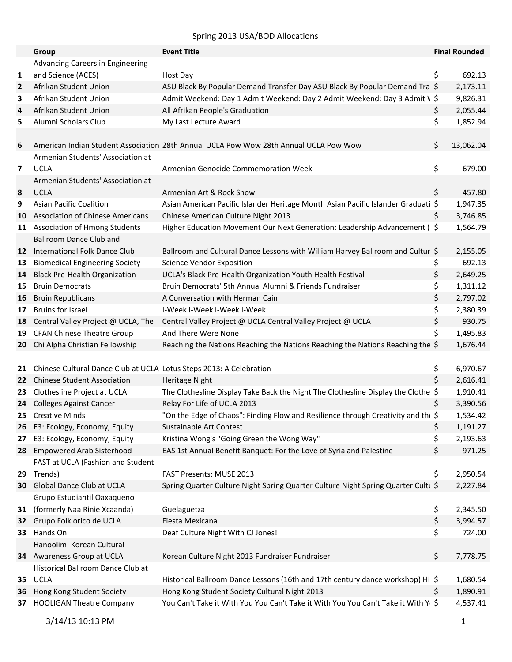## Spring 2013 USA/BOD Allocations

|    | Group                                                               | <b>Event Title</b>                                                                    | <b>Final Rounded</b> |
|----|---------------------------------------------------------------------|---------------------------------------------------------------------------------------|----------------------|
|    | Advancing Careers in Engineering                                    |                                                                                       |                      |
| 1  | and Science (ACES)                                                  | Host Day                                                                              | \$<br>692.13         |
| 2  | Afrikan Student Union                                               | ASU Black By Popular Demand Transfer Day ASU Black By Popular Demand Tra \$           | 2,173.11             |
| 3  | Afrikan Student Union                                               | Admit Weekend: Day 1 Admit Weekend: Day 2 Admit Weekend: Day 3 Admit \ \$             | 9,826.31             |
| 4  | Afrikan Student Union                                               | All Afrikan People's Graduation                                                       | \$<br>2,055.44       |
| 5  | Alumni Scholars Club                                                | My Last Lecture Award                                                                 | \$<br>1,852.94       |
|    |                                                                     |                                                                                       |                      |
| 6  |                                                                     | American Indian Student Association 28th Annual UCLA Pow Wow 28th Annual UCLA Pow Wow | \$<br>13,062.04      |
|    | Armenian Students' Association at                                   |                                                                                       |                      |
| 7  | <b>UCLA</b>                                                         | Armenian Genocide Commemoration Week                                                  | \$<br>679.00         |
|    | Armenian Students' Association at                                   |                                                                                       |                      |
| 8  | <b>UCLA</b>                                                         | Armenian Art & Rock Show                                                              | \$<br>457.80         |
| 9  | <b>Asian Pacific Coalition</b>                                      | Asian American Pacific Islander Heritage Month Asian Pacific Islander Graduati \$     | 1,947.35             |
| 10 | <b>Association of Chinese Americans</b>                             | Chinese American Culture Night 2013                                                   | \$<br>3,746.85       |
| 11 | <b>Association of Hmong Students</b>                                | Higher Education Movement Our Next Generation: Leadership Advancement (\$             | 1,564.79             |
|    | <b>Ballroom Dance Club and</b>                                      |                                                                                       |                      |
| 12 | International Folk Dance Club                                       | Ballroom and Cultural Dance Lessons with William Harvey Ballroom and Cultur \$        | 2,155.05             |
| 13 | <b>Biomedical Engineering Society</b>                               | <b>Science Vendor Exposition</b>                                                      | \$<br>692.13         |
| 14 | <b>Black Pre-Health Organization</b>                                | UCLA's Black Pre-Health Organization Youth Health Festival                            | \$<br>2,649.25       |
| 15 | <b>Bruin Democrats</b>                                              | Bruin Democrats' 5th Annual Alumni & Friends Fundraiser                               | \$<br>1,311.12       |
| 16 | <b>Bruin Republicans</b>                                            | A Conversation with Herman Cain                                                       | \$<br>2,797.02       |
| 17 | <b>Bruins for Israel</b>                                            | I-Week I-Week I-Week I-Week                                                           | \$<br>2,380.39       |
| 18 | Central Valley Project @ UCLA, The                                  | Central Valley Project @ UCLA Central Valley Project @ UCLA                           | \$<br>930.75         |
| 19 | <b>CFAN Chinese Theatre Group</b>                                   | And There Were None                                                                   | \$<br>1,495.83       |
| 20 | Chi Alpha Christian Fellowship                                      | Reaching the Nations Reaching the Nations Reaching the Nations Reaching the \$        | 1,676.44             |
|    |                                                                     |                                                                                       |                      |
| 21 | Chinese Cultural Dance Club at UCLA Lotus Steps 2013: A Celebration |                                                                                       | \$<br>6,970.67       |
| 22 | <b>Chinese Student Association</b>                                  | Heritage Night                                                                        | \$<br>2,616.41       |
| 23 | Clothesline Project at UCLA                                         | The Clothesline Display Take Back the Night The Clothesline Display the Clothe \$     | 1,910.41             |
| 24 | <b>Colleges Against Cancer</b>                                      | Relay For Life of UCLA 2013                                                           | \$<br>3,390.56       |
|    | 25 Creative Minds                                                   | "On the Edge of Chaos": Finding Flow and Resilience through Creativity and the \$     | 1,534.42             |
|    | 26 E3: Ecology, Economy, Equity                                     | Sustainable Art Contest                                                               | \$<br>1,191.27       |
| 27 | E3: Ecology, Economy, Equity                                        | Kristina Wong's "Going Green the Wong Way"                                            | \$<br>2,193.63       |
| 28 | <b>Empowered Arab Sisterhood</b>                                    | EAS 1st Annual Benefit Banquet: For the Love of Syria and Palestine                   | \$<br>971.25         |
|    | FAST at UCLA (Fashion and Student                                   |                                                                                       |                      |
| 29 | Trends)                                                             | FAST Presents: MUSE 2013                                                              | \$<br>2,950.54       |
| 30 | Global Dance Club at UCLA                                           | Spring Quarter Culture Night Spring Quarter Culture Night Spring Quarter Culti \$     | 2,227.84             |
|    | Grupo Estudiantil Oaxaqueno                                         |                                                                                       |                      |
| 31 | (formerly Naa Rinie Xcaanda)                                        | Guelaguetza                                                                           | \$<br>2,345.50       |
| 32 | Grupo Folklorico de UCLA                                            | Fiesta Mexicana                                                                       | \$<br>3,994.57       |
| 33 | Hands On                                                            | Deaf Culture Night With CJ Jones!                                                     | \$<br>724.00         |
|    | Hanoolim: Korean Cultural                                           |                                                                                       |                      |
|    | 34 Awareness Group at UCLA                                          | Korean Culture Night 2013 Fundraiser Fundraiser                                       | \$<br>7,778.75       |
|    | Historical Ballroom Dance Club at                                   |                                                                                       |                      |
| 35 | <b>UCLA</b>                                                         | Historical Ballroom Dance Lessons (16th and 17th century dance workshop) Hi \$        | 1,680.54             |
| 36 | Hong Kong Student Society                                           | Hong Kong Student Society Cultural Night 2013                                         | \$<br>1,890.91       |
| 37 | <b>HOOLIGAN Theatre Company</b>                                     | You Can't Take it With You You Can't Take it With You You Can't Take it With Y \$     | 4,537.41             |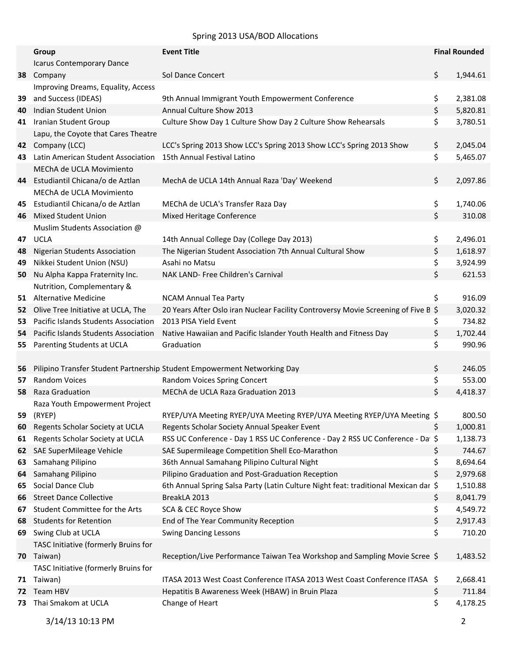## Spring 2013 USA/BOD Allocations

|     | Group                                 | <b>Event Title</b>                                                                  | <b>Final Rounded</b> |
|-----|---------------------------------------|-------------------------------------------------------------------------------------|----------------------|
|     | Icarus Contemporary Dance             |                                                                                     |                      |
| 38  | Company                               | Sol Dance Concert                                                                   | \$<br>1,944.61       |
|     | Improving Dreams, Equality, Access    |                                                                                     |                      |
| 39  | and Success (IDEAS)                   | 9th Annual Immigrant Youth Empowerment Conference                                   | \$<br>2,381.08       |
| 40  | Indian Student Union                  | Annual Culture Show 2013                                                            | \$<br>5,820.81       |
| 41  | Iranian Student Group                 | Culture Show Day 1 Culture Show Day 2 Culture Show Rehearsals                       | \$<br>3,780.51       |
|     | Lapu, the Coyote that Cares Theatre   |                                                                                     |                      |
| 42  | Company (LCC)                         | LCC's Spring 2013 Show LCC's Spring 2013 Show LCC's Spring 2013 Show                | \$<br>2,045.04       |
| 43. | Latin American Student Association    | 15th Annual Festival Latino                                                         | \$<br>5,465.07       |
|     | MEChA de UCLA Movimiento              |                                                                                     |                      |
| 44  | Estudiantil Chicana/o de Aztlan       | MechA de UCLA 14th Annual Raza 'Day' Weekend                                        | \$<br>2,097.86       |
|     | MEChA de UCLA Movimiento              |                                                                                     |                      |
| 45  | Estudiantil Chicana/o de Aztlan       | MEChA de UCLA's Transfer Raza Day                                                   | \$<br>1,740.06       |
| 46  | <b>Mixed Student Union</b>            | Mixed Heritage Conference                                                           | \$<br>310.08         |
|     | Muslim Students Association @         |                                                                                     |                      |
| 47  | <b>UCLA</b>                           | 14th Annual College Day (College Day 2013)                                          | \$<br>2,496.01       |
| 48  | <b>Nigerian Students Association</b>  | The Nigerian Student Association 7th Annual Cultural Show                           | \$<br>1,618.97       |
| 49  | Nikkei Student Union (NSU)            | Asahi no Matsu                                                                      | \$<br>3,924.99       |
| 50  | Nu Alpha Kappa Fraternity Inc.        | NAK LAND- Free Children's Carnival                                                  | \$<br>621.53         |
|     | Nutrition, Complementary &            |                                                                                     |                      |
| 51  | <b>Alternative Medicine</b>           | <b>NCAM Annual Tea Party</b>                                                        | \$<br>916.09         |
|     | 52 Olive Tree Initiative at UCLA, The | 20 Years After Oslo iran Nuclear Facility Controversy Movie Screening of Five B \$  | 3,020.32             |
| 53  | Pacific Islands Students Association  | 2013 PISA Yield Event                                                               | \$<br>734.82         |
| 54  | Pacific Islands Students Association  | Native Hawaiian and Pacific Islander Youth Health and Fitness Day                   | \$<br>1,702.44       |
| 55  | Parenting Students at UCLA            | Graduation                                                                          | \$<br>990.96         |
|     |                                       |                                                                                     |                      |
| 56  |                                       | Pilipino Transfer Student Partnership Student Empowerment Networking Day            | \$<br>246.05         |
| 57  | <b>Random Voices</b>                  | Random Voices Spring Concert                                                        | \$<br>553.00         |
| 58  | Raza Graduation                       | MEChA de UCLA Raza Graduation 2013                                                  | \$<br>4,418.37       |
|     | Raza Youth Empowerment Project        |                                                                                     |                      |
| 59  | (RYEP)                                | RYEP/UYA Meeting RYEP/UYA Meeting RYEP/UYA Meeting RYEP/UYA Meeting \$              | 800.50               |
| 60  | Regents Scholar Society at UCLA       | Regents Scholar Society Annual Speaker Event                                        | \$<br>1,000.81       |
| 61  | Regents Scholar Society at UCLA       | RSS UC Conference - Day 1 RSS UC Conference - Day 2 RSS UC Conference - Da \$       | 1,138.73             |
| 62  | SAE SuperMileage Vehicle              | SAE Supermileage Competition Shell Eco-Marathon                                     | \$<br>744.67         |
| 63  | Samahang Pilipino                     | 36th Annual Samahang Pilipino Cultural Night                                        | \$<br>8,694.64       |
| 64  | Samahang Pilipino                     | Pilipino Graduation and Post-Graduation Reception                                   | \$<br>2,979.68       |
| 65  | Social Dance Club                     | 6th Annual Spring Salsa Party (Latin Culture Night feat: traditional Mexican dar \$ | 1,510.88             |
| 66  | <b>Street Dance Collective</b>        | BreakLA 2013                                                                        | \$<br>8,041.79       |
| 67  | Student Committee for the Arts        | SCA & CEC Royce Show                                                                | \$<br>4,549.72       |
| 68  | <b>Students for Retention</b>         | End of The Year Community Reception                                                 | \$<br>2,917.43       |
| 69  | Swing Club at UCLA                    | <b>Swing Dancing Lessons</b>                                                        | \$<br>710.20         |
|     | TASC Initiative (formerly Bruins for  |                                                                                     |                      |
| 70  | Taiwan)                               | Reception/Live Performance Taiwan Tea Workshop and Sampling Movie Scree \$          | 1,483.52             |
|     | TASC Initiative (formerly Bruins for  |                                                                                     |                      |
| 71  | Taiwan)                               | ITASA 2013 West Coast Conference ITASA 2013 West Coast Conference ITASA \$          | 2,668.41             |
| 72  | Team HBV                              | Hepatitis B Awareness Week (HBAW) in Bruin Plaza                                    | \$<br>711.84         |
| 73  | Thai Smakom at UCLA                   | Change of Heart                                                                     | \$<br>4,178.25       |
|     |                                       |                                                                                     |                      |